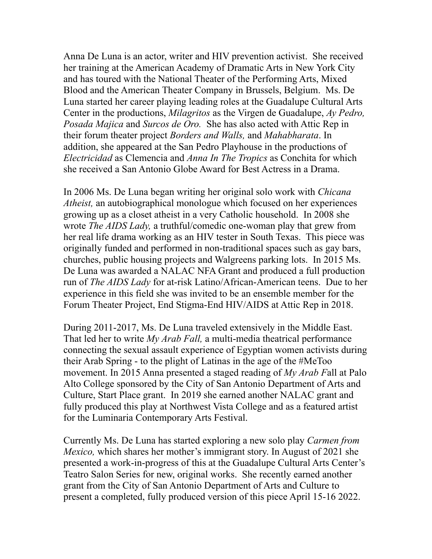Anna De Luna is an actor, writer and HIV prevention activist. She received her training at the American Academy of Dramatic Arts in New York City and has toured with the National Theater of the Performing Arts, Mixed Blood and the American Theater Company in Brussels, Belgium. Ms. De Luna started her career playing leading roles at the Guadalupe Cultural Arts Center in the productions, *Milagritos* as the Virgen de Guadalupe, *Ay Pedro, Posada Majica* and *Surcos de Oro.* She has also acted with Attic Rep in their forum theater project *Borders and Walls,* and *Mahabharata*. In addition, she appeared at the San Pedro Playhouse in the productions of *Electricidad* as Clemencia and *Anna In The Tropics* as Conchita for which she received a San Antonio Globe Award for Best Actress in a Drama.

In 2006 Ms. De Luna began writing her original solo work with *Chicana Atheist,* an autobiographical monologue which focused on her experiences growing up as a closet atheist in a very Catholic household. In 2008 she wrote *The AIDS Lady,* a truthful/comedic one-woman play that grew from her real life drama working as an HIV tester in South Texas. This piece was originally funded and performed in non-traditional spaces such as gay bars, churches, public housing projects and Walgreens parking lots. In 2015 Ms. De Luna was awarded a NALAC NFA Grant and produced a full production run of *The AIDS Lady* for at-risk Latino/African-American teens. Due to her experience in this field she was invited to be an ensemble member for the Forum Theater Project, End Stigma-End HIV/AIDS at Attic Rep in 2018.

During 2011-2017, Ms. De Luna traveled extensively in the Middle East. That led her to write *My Arab Fall,* a multi-media theatrical performance connecting the sexual assault experience of Egyptian women activists during their Arab Spring - to the plight of Latinas in the age of the #MeToo movement. In 2015 Anna presented a staged reading of *My Arab F*all at Palo Alto College sponsored by the City of San Antonio Department of Arts and Culture, Start Place grant. In 2019 she earned another NALAC grant and fully produced this play at Northwest Vista College and as a featured artist for the Luminaria Contemporary Arts Festival.

Currently Ms. De Luna has started exploring a new solo play *Carmen from Mexico,* which shares her mother's immigrant story. In August of 2021 she presented a work-in-progress of this at the Guadalupe Cultural Arts Center's Teatro Salon Series for new, original works. She recently earned another grant from the City of San Antonio Department of Arts and Culture to present a completed, fully produced version of this piece April 15-16 2022.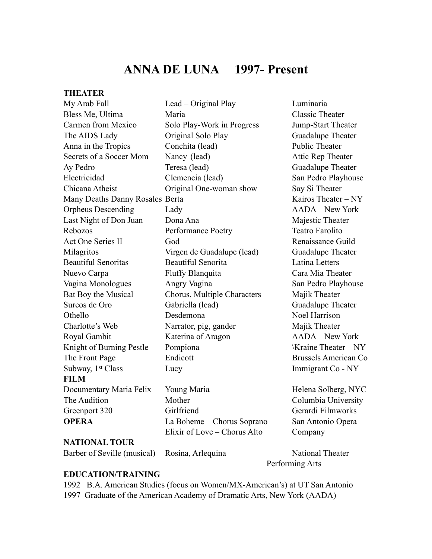## **ANNA DE LUNA 1997- Present**

# **THEATER**<br>My Arch Eall

| My Arab Fall                    | Lead – Original Play         | Luminaria                   |
|---------------------------------|------------------------------|-----------------------------|
| Bless Me, Ultima                | Maria                        | <b>Classic Theater</b>      |
| Carmen from Mexico              | Solo Play-Work in Progress   | Jump-Start Theater          |
| The AIDS Lady                   | Original Solo Play           | Guadalupe Theater           |
| Anna in the Tropics             | Conchita (lead)              | <b>Public Theater</b>       |
| Secrets of a Soccer Mom         | Nancy (lead)                 | Attic Rep Theater           |
| Ay Pedro                        | Teresa (lead)                | Guadalupe Theater           |
| Electricidad                    | Clemencia (lead)             | San Pedro Playhouse         |
| Chicana Atheist                 | Original One-woman show      | Say Si Theater              |
| Many Deaths Danny Rosales Berta |                              | Kairos Theater - NY         |
| <b>Orpheus Descending</b>       | Lady                         | <b>AADA</b> – New York      |
| Last Night of Don Juan          | Dona Ana                     | Majestic Theater            |
| Rebozos                         | Performance Poetry           | <b>Teatro Farolito</b>      |
| Act One Series II               | God                          | Renaissance Guild           |
| Milagritos                      | Virgen de Guadalupe (lead)   | Guadalupe Theater           |
| <b>Beautiful Senoritas</b>      | <b>Beautiful Senorita</b>    | <b>Latina Letters</b>       |
| Nuevo Carpa                     | Fluffy Blanquita             | Cara Mia Theater            |
| Vagina Monologues               | Angry Vagina                 | San Pedro Playhouse         |
| Bat Boy the Musical             | Chorus, Multiple Characters  | Majik Theater               |
| Surcos de Oro                   | Gabriella (lead)             | Guadalupe Theater           |
| Othello                         | Desdemona                    | Noel Harrison               |
| Charlotte's Web                 | Narrator, pig, gander        | Majik Theater               |
| Royal Gambit                    | Katerina of Aragon           | AADA - New York             |
| Knight of Burning Pestle        | Pompiona                     | \Kraine Theater – NY        |
| The Front Page                  | Endicott                     | <b>Brussels American Co</b> |
| Subway, 1st Class               | Lucy                         | Immigrant Co - NY           |
| <b>FILM</b>                     |                              |                             |
| Documentary Maria Felix         | Young Maria                  | Helena Solberg, NYC         |
| The Audition                    | Mother                       | Columbia University         |
| Greenport 320                   | Girlfriend                   | Gerardi Filmworks           |
| <b>OPERA</b>                    | La Boheme – Chorus Soprano   | San Antonio Opera           |
|                                 | Elixir of Love – Chorus Alto | Company                     |
| <b>NATIONAL TOUR</b>            |                              |                             |
| Barber of Seville (musical)     | Rosina, Arlequina            | <b>National Theater</b>     |

Performing Arts

### **EDUCATION/TRAINING**

1992 B.A. American Studies (focus on Women/MX-American's) at UT San Antonio 1997 Graduate of the American Academy of Dramatic Arts, New York (AADA)